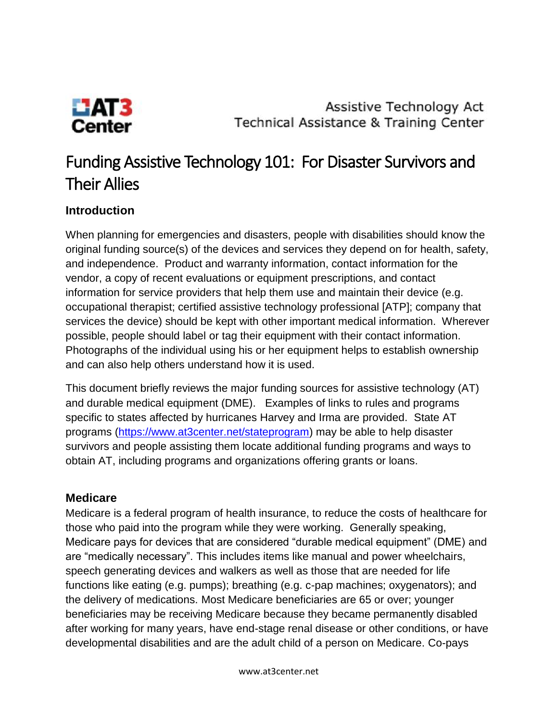

Assistive Technology Act Technical Assistance & Training Center

# Funding Assistive Technology 101: For Disaster Survivors and Their Allies

# **Introduction**

When planning for emergencies and disasters, people with disabilities should know the original funding source(s) of the devices and services they depend on for health, safety, and independence. Product and warranty information, contact information for the vendor, a copy of recent evaluations or equipment prescriptions, and contact information for service providers that help them use and maintain their device (e.g. occupational therapist; certified assistive technology professional [ATP]; company that services the device) should be kept with other important medical information. Wherever possible, people should label or tag their equipment with their contact information. Photographs of the individual using his or her equipment helps to establish ownership and can also help others understand how it is used.

This document briefly reviews the major funding sources for assistive technology (AT) and durable medical equipment (DME). Examples of links to rules and programs specific to states affected by hurricanes Harvey and Irma are provided. State AT programs [\(https://www.at3center.net/stateprogram\)](https://www.at3center.net/stateprogram) may be able to help disaster survivors and people assisting them locate additional funding programs and ways to obtain AT, including programs and organizations offering grants or loans.

#### **Medicare**

Medicare is a federal program of health insurance, to reduce the costs of healthcare for those who paid into the program while they were working. Generally speaking, Medicare pays for devices that are considered "durable medical equipment" (DME) and are "medically necessary". This includes items like manual and power wheelchairs, speech generating devices and walkers as well as those that are needed for life functions like eating (e.g. pumps); breathing (e.g. c-pap machines; oxygenators); and the delivery of medications. Most Medicare beneficiaries are 65 or over; younger beneficiaries may be receiving Medicare because they became permanently disabled after working for many years, have end-stage renal disease or other conditions, or have developmental disabilities and are the adult child of a person on Medicare. Co-pays

www.at3center.net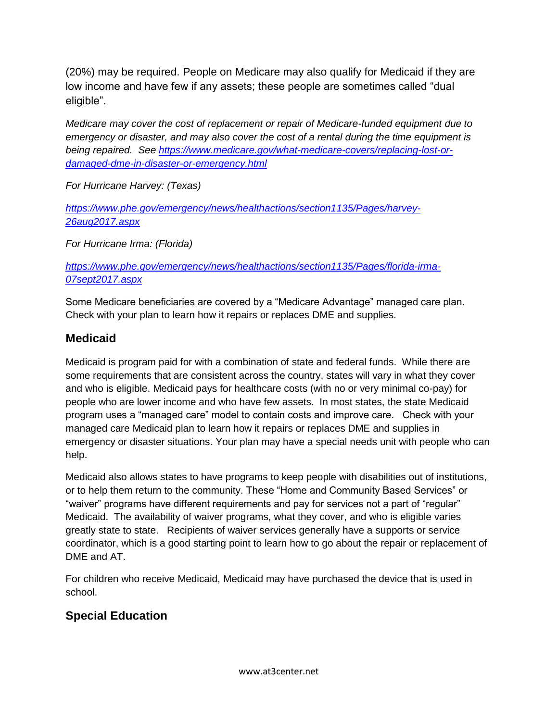(20%) may be required. People on Medicare may also qualify for Medicaid if they are low income and have few if any assets; these people are sometimes called "dual eligible".

*Medicare may cover the cost of replacement or repair of Medicare-funded equipment due to emergency or disaster, and may also cover the cost of a rental during the time equipment is being repaired. See [https://www.medicare.gov/what-medicare-covers/replacing-lost-or](https://www.medicare.gov/what-medicare-covers/replacing-lost-or-damaged-dme-in-disaster-or-emergency.html)[damaged-dme-in-disaster-or-emergency.html](https://www.medicare.gov/what-medicare-covers/replacing-lost-or-damaged-dme-in-disaster-or-emergency.html)* 

*For Hurricane Harvey: (Texas)*

*[https://www.phe.gov/emergency/news/healthactions/section1135/Pages/harvey-](https://www.phe.gov/emergency/news/healthactions/section1135/Pages/harvey-26aug2017.aspx)[26aug2017.aspx](https://www.phe.gov/emergency/news/healthactions/section1135/Pages/harvey-26aug2017.aspx)*

*For Hurricane Irma: (Florida)*

*[https://www.phe.gov/emergency/news/healthactions/section1135/Pages/florida-irma-](https://www.phe.gov/emergency/news/healthactions/section1135/Pages/florida-irma-07sept2017.aspx)[07sept2017.aspx](https://www.phe.gov/emergency/news/healthactions/section1135/Pages/florida-irma-07sept2017.aspx)*

Some Medicare beneficiaries are covered by a "Medicare Advantage" managed care plan. Check with your plan to learn how it repairs or replaces DME and supplies.

# **Medicaid**

Medicaid is program paid for with a combination of state and federal funds. While there are some requirements that are consistent across the country, states will vary in what they cover and who is eligible. Medicaid pays for healthcare costs (with no or very minimal co-pay) for people who are lower income and who have few assets. In most states, the state Medicaid program uses a "managed care" model to contain costs and improve care. Check with your managed care Medicaid plan to learn how it repairs or replaces DME and supplies in emergency or disaster situations. Your plan may have a special needs unit with people who can help.

Medicaid also allows states to have programs to keep people with disabilities out of institutions, or to help them return to the community. These "Home and Community Based Services" or "waiver" programs have different requirements and pay for services not a part of "regular" Medicaid. The availability of waiver programs, what they cover, and who is eligible varies greatly state to state. Recipients of waiver services generally have a supports or service coordinator, which is a good starting point to learn how to go about the repair or replacement of DME and AT.

For children who receive Medicaid, Medicaid may have purchased the device that is used in school.

# **Special Education**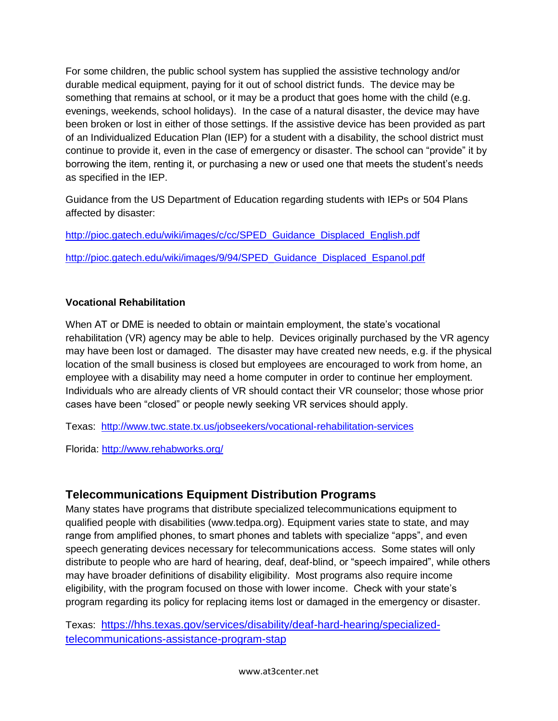For some children, the public school system has supplied the assistive technology and/or durable medical equipment, paying for it out of school district funds. The device may be something that remains at school, or it may be a product that goes home with the child (e.g. evenings, weekends, school holidays). In the case of a natural disaster, the device may have been broken or lost in either of those settings. If the assistive device has been provided as part of an Individualized Education Plan (IEP) for a student with a disability, the school district must continue to provide it, even in the case of emergency or disaster. The school can "provide" it by borrowing the item, renting it, or purchasing a new or used one that meets the student's needs as specified in the IEP.

Guidance from the US Department of Education regarding students with IEPs or 504 Plans affected by disaster:

[http://pioc.gatech.edu/wiki/images/c/cc/SPED\\_Guidance\\_Displaced\\_English.pdf](http://pioc.gatech.edu/wiki/images/c/cc/SPED_Guidance_Displaced_English.pdf) [http://pioc.gatech.edu/wiki/images/9/94/SPED\\_Guidance\\_Displaced\\_Espanol.pdf](http://pioc.gatech.edu/wiki/images/9/94/SPED_Guidance_Displaced_Espanol.pdf)

#### **Vocational Rehabilitation**

When AT or DME is needed to obtain or maintain employment, the state's vocational rehabilitation (VR) agency may be able to help. Devices originally purchased by the VR agency may have been lost or damaged. The disaster may have created new needs, e.g. if the physical location of the small business is closed but employees are encouraged to work from home, an employee with a disability may need a home computer in order to continue her employment. Individuals who are already clients of VR should contact their VR counselor; those whose prior cases have been "closed" or people newly seeking VR services should apply.

Texas: <http://www.twc.state.tx.us/jobseekers/vocational-rehabilitation-services>

Florida:<http://www.rehabworks.org/>

### **Telecommunications Equipment Distribution Programs**

Many states have programs that distribute specialized telecommunications equipment to qualified people with disabilities (www.tedpa.org). Equipment varies state to state, and may range from amplified phones, to smart phones and tablets with specialize "apps", and even speech generating devices necessary for telecommunications access. Some states will only distribute to people who are hard of hearing, deaf, deaf-blind, or "speech impaired", while others may have broader definitions of disability eligibility. Most programs also require income eligibility, with the program focused on those with lower income. Check with your state's program regarding its policy for replacing items lost or damaged in the emergency or disaster.

Texas: [https://hhs.texas.gov/services/disability/deaf-hard-hearing/specialized](https://hhs.texas.gov/services/disability/deaf-hard-hearing/specialized-telecommunications-assistance-program-stap)[telecommunications-assistance-program-stap](https://hhs.texas.gov/services/disability/deaf-hard-hearing/specialized-telecommunications-assistance-program-stap)

www.at3center.net